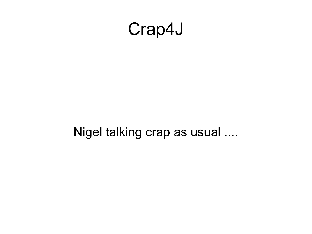#### Crap4J

Nigel talking crap as usual ....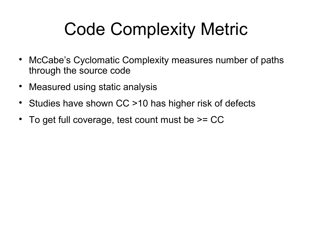## Code Complexity Metric

- McCabe's Cyclomatic Complexity measures number of paths through the source code
- Measured using static analysis
- Studies have shown CC >10 has higher risk of defects
- To get full coverage, test count must be >= CC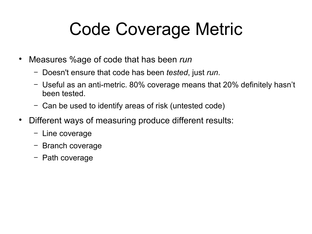## Code Coverage Metric

- Measures %age of code that has been *run*
	- − Doesn't ensure that code has been *tested*, just *run*.
	- − Useful as an anti-metric. 80% coverage means that 20% definitely hasn't been tested.
	- − Can be used to identify areas of risk (untested code)
- Different ways of measuring produce different results:
	- − Line coverage
	- − Branch coverage
	- − Path coverage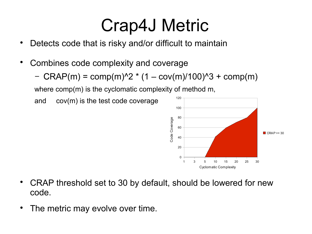#### Crap4J Metric

- Detects code that is risky and/or difficult to maintain
- Combines code complexity and coverage
	- $-CRAP(m) = comp(m)^2 * (1 cov(m)/100)^3 + comp(m)$

where comp(m) is the cyclomatic complexity of method m,

and cov(m) is the test code coverage



- CRAP threshold set to 30 by default, should be lowered for new code.
- The metric may evolve over time.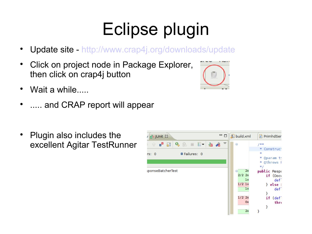# Eclipse plugin

- Update site -<http://www.crap4j.org/downloads/update>
- Click on project node in Package Explorer, then click on crap4j button
- Wait a while.....
- ..... and CRAP report will appear
- Plugin also includes the excellent Agitar TestRunner



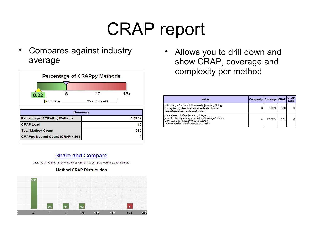#### CRAP report

 Compares against industry average

| 5<br>0.32                           | 10                          | $15+$ |  |
|-------------------------------------|-----------------------------|-------|--|
| △ - Your Score                      | $\nabla$ - Avg Score (4.95) |       |  |
|                                     |                             |       |  |
|                                     | Summary                     |       |  |
| <b>Percentage of CRAPpy Methods</b> |                             | 0.32% |  |
| <b>CRAP Load</b>                    |                             | 16    |  |
| <b>Total Method Count</b>           |                             | 630   |  |

 Allows you to drill down and show CRAP, coverage and complexity per method

| Method                                                                                                                                                                                                                                                           | <b>Complexity   Coverage   CRAP</b> |        |       | <b>CRAP</b><br>Load |
|------------------------------------------------------------------------------------------------------------------------------------------------------------------------------------------------------------------------------------------------------------------|-------------------------------------|--------|-------|---------------------|
| public int getCyclomaticComplexity(java.lang.String,<br>com.agitar.org.objectweb.asm.tree.MethodNode)<br>org.crap4j.complexity . CyclomaticComplexity                                                                                                            |                                     | 0.00%  | 12.00 | $\mathbf 0$         |
| private java.util.Map <java.lang.integer,<br>java.util.List<org.crap4j.external.mycoveragepoint>&gt;<br/>readCoveragePoints(java.io.DataInput)<br/>org.crap4j.external . SuperRunnerCoverageReader</org.crap4j.external.mycoveragepoint></java.lang.integer,<br> |                                     | 26.67% | 10.31 | $\mathbf{0}$        |

#### Share and Compare

Share your results, (anonymously or publicly) & compare your project to others.



#### **Method CRAP Distribution**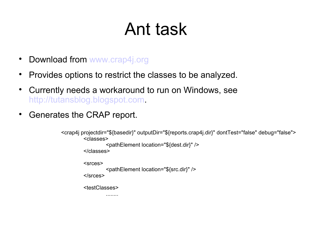## Ant task

- Download from [www.crap4j.org](http://www.crap4j.org/)
- Provides options to restrict the classes to be analyzed.
- Currently needs a workaround to run on Windows, see [http://tutansblog.blogspot.com.](http://tutansblog.blogspot.com/)
- Generates the CRAP report.

```
<crap4j projectdir="${basedir}" outputDir="${reports.crap4j.dir}" dontTest="false" debug="false">
<classes>
         <pathElement location="${dest.dir}" />
</classes>
<srces>
         <pathElement location="${src.dir}" />
</srces>
<testClasses>
         ........
```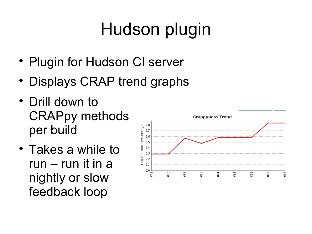# Hudson plugin

- Plugin for Hudson CI server
- Displays CRAP trend graphs
- Drill down to CRAPpy methods per build
- Takes a while to run – run it in a nightly or slow feedback loop

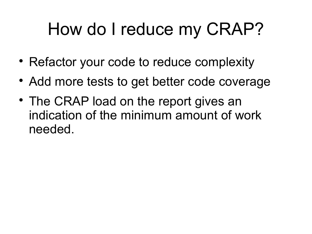### How do I reduce my CRAP?

- Refactor your code to reduce complexity
- Add more tests to get better code coverage
- The CRAP load on the report gives an indication of the minimum amount of work needed.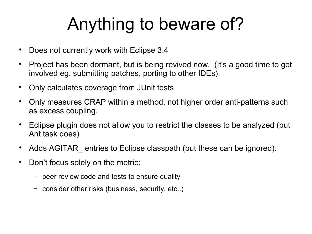## Anything to beware of?

- Does not currently work with Eclipse 3.4
- Project has been dormant, but is being revived now. (It's a good time to get involved eg. submitting patches, porting to other IDEs).
- Only calculates coverage from JUnit tests
- Only measures CRAP within a method, not higher order anti-patterns such as excess coupling.
- Eclipse plugin does not allow you to restrict the classes to be analyzed (but Ant task does)
- Adds AGITAR\_ entries to Eclipse classpath (but these can be ignored).
- Don't focus solely on the metric:
	- Deer review code and tests to ensure quality
	- − consider other risks (business, security, etc..)